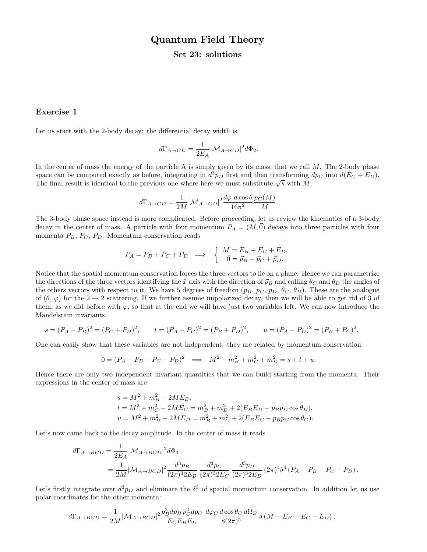# Quantum Field Theory

### Set 23: solutions

## Exercise 1

Let us start with the 2-body decay: the differential decay width is

$$
d\Gamma_{A\to CD}=\frac{1}{2E_A}|\mathcal{M}_{A\to CD}|^2d\Phi_2.
$$

In the center of mass the energy of the particle A is simply given by its mass, that we call  $M$ . The 2-body phase space can be computed exactly as before, integrating in  $d^3p_D$  first and then transforming  $dp_C$  into  $d(E_C + E_D)$ . space can be computed exactly as before, integrating in a  $p_D$  inst and then transforming of The final result is identical to the previous one where here we must substitute  $\sqrt{s}$  with M:

$$
d\Gamma_{A\to CD} = \frac{1}{2M} |\mathcal{M}_{A\to CD}|^2 \frac{d\varphi \ d\cos\theta}{16\pi^2} \frac{p_C(M)}{M}.
$$

The 3-body phase space instead is more complicated. Before proceeding, let us review the kinematics of a 3-body decay in the center of mass. A particle with four momentum  $P_A = (M, \vec{0})$  decays into three particles with four momenta  $P_B$ ,  $P_C$ ,  $P_D$ . Momentum conservation reads

$$
P_A = P_B + P_C + P_D \implies \begin{cases} M = E_B + E_C + E_D, \\ \vec{0} = \vec{p}_B + \vec{p}_C + \vec{p}_D. \end{cases}
$$

Notice that the spatial momentum conservation forces the three vectors to lie on a plane. Hence we can parametrize the directions of the three vectors identifying the  $\hat{x}$  axis with the direction of  $\vec{p}_B$  and calling  $\theta_C$  and  $\theta_D$  the angles of the others vectors with respect to it. We have 5 degrees of freedom  $(p_B, p_C, p_D, \theta_C, \theta_D)$ . These are the analogue of  $(\theta, \varphi)$  for the  $2 \to 2$  scattering. If we further assume unpolarized decay, then we will be able to get rid of 3 of them, as we did before with  $\varphi$ , so that at the end we will have just two variables left. We can now introduce the Mandelstam invariants

$$
s = (P_A - P_B)^2 = (P_C + P_D)^2, \qquad t = (P_A - P_C)^2 = (P_B + P_D)^2, \qquad u = (P_A - P_D)^2 = (P_B + P_C)^2.
$$

One can easily show that these variables are not independent: they are related by momentum conservation

$$
0 = (P_A - P_B - P_C - P_D)^2 \implies M^2 + m_B^2 + m_C^2 + m_D^2 = s + t + u.
$$

Hence there are only two independent invariant quantities that we can build starting from the momenta. Their expressions in the center of mass are

$$
s = M^{2} + m_{B}^{2} - 2ME_{B},
$$
  
\n
$$
t = M^{2} + m_{C}^{2} - 2ME_{C} = m_{B}^{2} + m_{D}^{2} + 2(E_{B}E_{D} - p_{B}p_{D}\cos\theta_{D}),
$$
  
\n
$$
u = M^{2} + m_{D}^{2} - 2ME_{D} = m_{B}^{2} + m_{C}^{2} + 2(E_{B}E_{C} - p_{B}p_{C}\cos\theta_{C}).
$$

Let's now came back to the decay amplitude. In the center of mass it reads

$$
\begin{split} d\Gamma_{A\to BCD} &= \frac{1}{2E_A} |{\cal M}_{A\to BCD}|^2 d\Phi_3 \\ &= \frac{1}{2M} |{\cal M}_{A\to BCD}|^2 \frac{d^3 p_B}{(2\pi)^3 2E_B} \, \frac{d^3 p_C}{(2\pi)^3 2E_C} \, \frac{d^3 p_D}{(2\pi)^3 2E_D} \, (2\pi)^4 \delta^4 \left( P_A - P_B - P_C - P_D \right). \end{split}
$$

Let's firstly integrate over  $d^3p_D$  and eliminate the  $\delta^3$  of spatial momentum conservation. In addition let us use polar coordinates for the other momenta:

$$
d\Gamma_{A\to BCD} = \frac{1}{2M} |\mathcal{M}_{A\to BCD}|^2 \frac{p_B^2 dp_B p_C^2 dp_C}{E_C E_B E_D} \frac{d\varphi_C d\cos\theta_C d\Omega_B}{8(2\pi)^5} \delta(M - E_B - E_C - E_D),
$$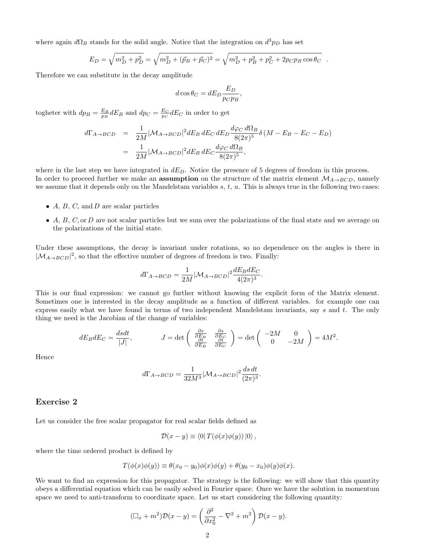where again  $d\Omega_B$  stands for the solid angle. Notice that the integration on  $d^3p_D$  has set

$$
E_D = \sqrt{m_D^2 + p_D^2} = \sqrt{m_D^2 + (\vec{p}_B + \vec{p}_C)^2} = \sqrt{m_D^2 + p_B^2 + p_C^2 + 2p_Cp_B\cos\theta_C}.
$$

Therefore we can substitute in the decay amplitude

$$
d\cos\theta_C = dE_D \frac{E_D}{p_C p_B},
$$

togheter with  $dp_B = \frac{E_B}{p_B} dE_B$  and  $dp_C = \frac{E_C}{p_C} dE_C$  in order to get

$$
d\Gamma_{A\to BCD} = \frac{1}{2M} |\mathcal{M}_{A\to BCD}|^2 dE_B dE_C dE_D \frac{d\varphi_C d\Omega_B}{8(2\pi)^5} \delta(M - E_B - E_C - E_D)
$$
  
= 
$$
\frac{1}{2M} |\mathcal{M}_{A\to BCD}|^2 dE_B dE_C \frac{d\varphi_C d\Omega_B}{8(2\pi)^5},
$$

where in the last step we have integrated in  $dE_D$ . Notice the presence of 5 degrees of freedom in this process. In order to proceed further we make an **assumption** on the structure of the matrix element  $\mathcal{M}_{A\rightarrow BCD}$ , namely we assume that it depends only on the Mandelstam variables  $s, t, u$ . This is always true in the following two cases:

- $A, B, C, \text{ and } D$  are scalar particles
- $\bullet$  A, B, C, or D are not scalar particles but we sum over the polarizations of the final state and we average on the polarizations of the initial state.

Under these assumptions, the decay is invariant under rotations, so no dependence on the angles is there in  $|\mathcal{M}_{A\rightarrow BCD}|^2$ , so that the effective number of degrees of freedom is two. Finally:

$$
d\Gamma_{A\to BCD} = \frac{1}{2M} |\mathcal{M}_{A\to BCD}|^2 \frac{dE_B dE_C}{4(2\pi)^3}.
$$

This is our final expression: we cannot go further without knowing the explicit form of the Matrix element. Sometimes one is interested in the decay amplitude as a function of different variables. for example one can express easily what we have found in terms of two independent Mandelstam invariants, say s and t. The only thing we need is the Jacobian of the change of variables:

$$
dE_B dE_C = \frac{dsdt}{|J|}, \qquad J = \det\begin{pmatrix} \frac{\partial s}{\partial E_B} & \frac{\partial s}{\partial E_C} \\ \frac{\partial t}{\partial E_B} & \frac{\partial t}{\partial E_C} \end{pmatrix} = \det\begin{pmatrix} -2M & 0 \\ 0 & -2M \end{pmatrix} = 4M^2.
$$

Hence

$$
d\Gamma_{A\to BCD} = \frac{1}{32M^3} |\mathcal{M}_{A\to BCD}|^2 \frac{ds\,dt}{(2\pi)^3}.
$$

#### Exercise 2

Let us consider the free scalar propagator for real scalar fields defined as

$$
\mathcal{D}(x-y) \equiv \langle 0| T(\phi(x)\phi(y))|0\rangle,
$$

where the time ordered product is defined by

$$
T(\phi(x)\phi(y)) \equiv \theta(x_0 - y_0)\phi(x)\phi(y) + \theta(y_0 - x_0)\phi(y)\phi(x).
$$

We want to find an expression for this propagator. The strategy is the following: we will show that this quantity obeys a differential equation which can be easily solved in Fourier space. Once we have the solution in momentum space we need to anti-transform to coordinate space. Let us start considering the following quantity:

$$
(\Box_x + m^2) \mathcal{D}(x - y) = \left(\frac{\partial^2}{\partial x_0^2} - \nabla^2 + m^2\right) \mathcal{D}(x - y).
$$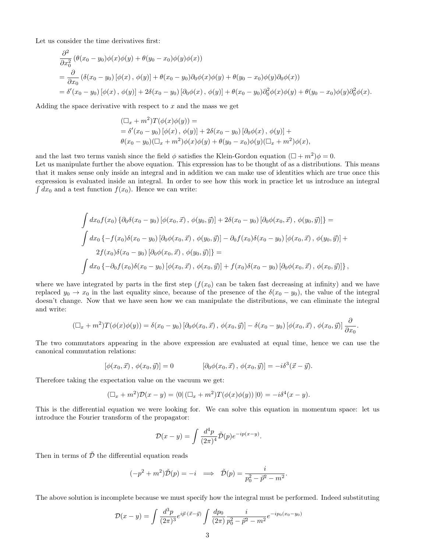Let us consider the time derivatives first:

$$
\frac{\partial^2}{\partial x_0^2} \left( \theta(x_0 - y_0) \phi(x) \phi(y) + \theta(y_0 - x_0) \phi(y) \phi(x) \right)
$$
\n
$$
= \frac{\partial}{\partial x_0} \left( \delta(x_0 - y_0) \left[ \phi(x), \phi(y) \right] + \theta(x_0 - y_0) \partial_0 \phi(x) \phi(y) + \theta(y_0 - x_0) \phi(y) \partial_0 \phi(x) \right)
$$
\n
$$
= \delta'(x_0 - y_0) \left[ \phi(x), \phi(y) \right] + 2\delta(x_0 - y_0) \left[ \partial_0 \phi(x), \phi(y) \right] + \theta(x_0 - y_0) \partial_0^2 \phi(x) \phi(y) + \theta(y_0 - x_0) \phi(y) \partial_0^2 \phi(x).
$$

Adding the space derivative with respect to  $x$  and the mass we get

$$
\begin{aligned} (\Box_x + m^2)T(\phi(x)\phi(y)) &= \\ &= \delta'(x_0 - y_0) \left[ \phi(x), \phi(y) \right] + 2\delta(x_0 - y_0) \left[ \partial_0 \phi(x), \phi(y) \right] + \\ & \theta(x_0 - y_0) (\Box_x + m^2) \phi(x) \phi(y) + \theta(y_0 - x_0) \phi(y) (\Box_x + m^2) \phi(x), \end{aligned}
$$

and the last two terms vanish since the field  $\phi$  satisfies the Klein-Gordon equation  $(\Box + m^2)\phi = 0$ . Let us manipulate further the above equation. This expression has to be thought of as a distributions. This means that it makes sense only inside an integral and in addition we can make use of identities which are true once this expression is evaluated inside an integral. In order to see how this work in practice let us introduce an integral  $\int dx_0$  and a test function  $f(x_0)$ . Hence we can write:

$$
\int dx_0 f(x_0) \left\{ \partial_0 \delta(x_0 - y_0) \left[ \phi(x_0, \vec{x}) \, , \, \phi(y_0, \vec{y}) \right] + 2 \delta(x_0 - y_0) \left[ \partial_0 \phi(x_0, \vec{x}) \, , \, \phi(y_0, \vec{y}) \right] \right\} =
$$
\n
$$
\int dx_0 \left\{ -f(x_0) \delta(x_0 - y_0) \left[ \partial_0 \phi(x_0, \vec{x}) \, , \, \phi(y_0, \vec{y}) \right] - \partial_0 f(x_0) \delta(x_0 - y_0) \left[ \phi(x_0, \vec{x}) \, , \, \phi(y_0, \vec{y}) \right] \right\} =
$$
\n
$$
\int dx_0 \left\{ -\partial_0 f(x_0) \delta(x_0 - y_0) \left[ \phi(x_0, \vec{x}) \, , \, \phi(x_0, \vec{y}) \right] + f(x_0) \delta(x_0 - y_0) \left[ \partial_0 \phi(x_0, \vec{x}) \, , \, \phi(x_0, \vec{y}) \right] \right\},
$$

where we have integrated by parts in the first step  $(f(x_0))$  can be taken fast decreasing at infinity) and we have replaced  $y_0 \to x_0$  in the last equality since, because of the presence of the  $\delta(x_0 - y_0)$ , the value of the integral doesn't change. Now that we have seen how we can manipulate the distributions, we can eliminate the integral and write:

$$
(\Box_x + m^2)T(\phi(x)\phi(y)) = \delta(x_0 - y_0) [\partial_0\phi(x_0, \vec{x}), \phi(x_0, \vec{y})] - \delta(x_0 - y_0) [\phi(x_0, \vec{x}), \phi(x_0, \vec{y})] \frac{\partial}{\partial x_0}.
$$

The two commutators appearing in the above expression are evaluated at equal time, hence we can use the canonical commutation relations:

$$
[\phi(x_0, \vec{x}), \phi(x_0, \vec{y})] = 0 \qquad [\partial_0 \phi(x_0, \vec{x}), \phi(x_0, \vec{y})] = -i\delta^3(\vec{x} - \vec{y}).
$$

Therefore taking the expectation value on the vacuum we get:

$$
(\Box_x + m^2)\mathcal{D}(x - y) = \langle 0 | (\Box_x + m^2)T(\phi(x)\phi(y)) | 0 \rangle = -i\delta^4(x - y).
$$

This is the differential equation we were looking for. We can solve this equation in momentum space: let us introduce the Fourier transform of the propagator:

$$
\mathcal{D}(x-y) = \int \frac{d^4p}{(2\pi)^4} \tilde{\mathcal{D}}(p) e^{-ip(x-y)}.
$$

Then in terms of  $\tilde{\mathcal{D}}$  the differential equation reads

$$
(-p2 + m2)\tilde{\mathcal{D}}(p) = -i \implies \tilde{\mathcal{D}}(p) = \frac{i}{p_0^2 - \bar{p}^2 - m^2}.
$$

The above solution is incomplete because we must specify how the integral must be performed. Indeed substituting

$$
\mathcal{D}(x-y) = \int \frac{d^3p}{(2\pi)^3} e^{i\vec{p}\cdot(\vec{x}-\vec{y})} \int \frac{dp_0}{(2\pi)} \frac{i}{p_0^2 - \vec{p}^2 - m^2} e^{-ip_0(x_0 - y_0)}
$$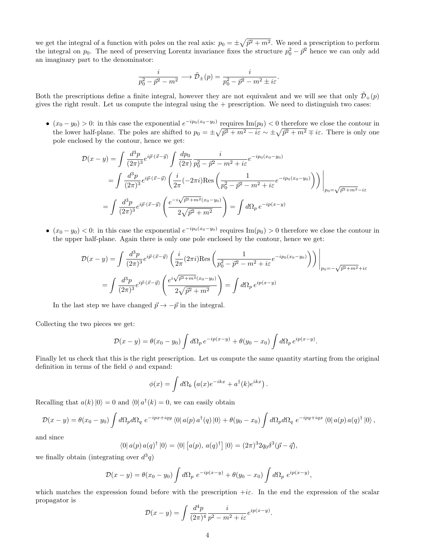we get the integral of a function with poles on the real axis:  $p_0 = \pm \sqrt{\vec{p}^2 + m^2}$ . We need a prescription to perform the integral on  $p_0$ . The need of preserving Lorentz invariance fixes the structure  $p_0^2 - \bar{p}^2$  hence we can only add an imaginary part to the denominator:

$$
\frac{i}{p_0^2 - \vec{p}^2 - m^2} \longrightarrow \tilde{\mathcal{D}}_{\pm}(p) = \frac{i}{p_0^2 - \vec{p}^2 - m^2 \pm i\varepsilon}.
$$

Both the prescriptions define a finite integral, however they are not equivalent and we will see that only  $\tilde{\mathcal{D}}_+(p)$ gives the right result. Let us compute the integral using the  $+$  prescription. We need to distinguish two cases:

•  $(x_0 - y_0) > 0$ : in this case the exponential  $e^{-ip_0(x_0 - y_0)}$  requires  $\text{Im}(p_0) < 0$  therefore we close the contour in the lower half-plane. The poles are shifted to  $p_0 = \pm \sqrt{\bar{p}^2 + m^2 - i\varepsilon} \sim \pm \sqrt{\bar{p}^2 + m^2} \mp i\varepsilon$ . There is only one pole enclosed by the contour, hence we get:

$$
\mathcal{D}(x - y) = \int \frac{d^3 p}{(2\pi)^3} e^{i\vec{p}\cdot(\vec{x} - \vec{y})} \int \frac{dp_0}{(2\pi)} \frac{i}{p_0^2 - \vec{p}^2 - m^2 + i\varepsilon} e^{-ip_0(x_0 - y_0)}
$$
  
\n
$$
= \int \frac{d^3 p}{(2\pi)^3} e^{i\vec{p}\cdot(\vec{x} - \vec{y})} \left( \frac{i}{2\pi} (-2\pi i) \text{Res} \left( \frac{1}{p_0^2 - \vec{p}^2 - m^2 + i\varepsilon} e^{-ip_0(x_0 - y_0)} \right) \right) \Bigg|_{p_0 = \sqrt{\vec{p}^2 + m^2} - i\varepsilon}
$$
  
\n
$$
= \int \frac{d^3 p}{(2\pi)^3} e^{i\vec{p}\cdot(\vec{x} - \vec{y})} \left( \frac{e^{-i\sqrt{\vec{p}^2 + m^2}(x_0 - y_0)}}{2\sqrt{\vec{p}^2 + m^2}} \right) = \int d\Omega_p e^{-ip(x - y)}
$$

•  $(x_0 - y_0) < 0$ : in this case the exponential  $e^{-ip_0(x_0 - y_0)}$  requires  $\text{Im}(p_0) > 0$  therefore we close the contour in the upper half-plane. Again there is only one pole enclosed by the contour, hence we get:

$$
\mathcal{D}(x - y) = \int \frac{d^3 p}{(2\pi)^3} e^{i\vec{p}\cdot(\vec{x} - \vec{y})} \left( \frac{i}{2\pi} (2\pi i) \text{Res} \left( \frac{1}{p_0^2 - \vec{p}^2 - m^2 + i\varepsilon} e^{-ip_0(x_0 - y_0)} \right) \right) \Bigg|_{p_0 = -\sqrt{\vec{p}^2 + m^2} + i\varepsilon}
$$

$$
= \int \frac{d^3 p}{(2\pi)^3} e^{i\vec{p}\cdot(\vec{x} - \vec{y})} \left( \frac{e^{i\sqrt{\vec{p}^2 + m^2}(x_0 - y_0)}}{2\sqrt{\vec{p}^2 + m^2}} \right) = \int d\Omega_p \, e^{ip(x - y)}
$$

In the last step we have changed  $\vec{p} \rightarrow -\vec{p}$  in the integral.

Collecting the two pieces we get:

$$
\mathcal{D}(x-y) = \theta(x_0 - y_0) \int d\Omega_p e^{-ip(x-y)} + \theta(y_0 - x_0) \int d\Omega_p e^{ip(x-y)}.
$$

Finally let us check that this is the right prescription. Let us compute the same quantity starting from the original definition in terms of the field  $\phi$  and expand:

$$
\phi(x) = \int d\Omega_k \left( a(x) e^{-ikx} + a^{\dagger}(k) e^{ikx} \right).
$$

Recalling that  $a(k) |0\rangle = 0$  and  $\langle 0 | a^{\dagger}(k) = 0$ , we can easily obtain

$$
\mathcal{D}(x-y) = \theta(x_0 - y_0) \int d\Omega_p d\Omega_q \ e^{-ipx+iqy} \langle 0|a(p) a^{\dagger}(q) |0\rangle + \theta(y_0 - x_0) \int d\Omega_p d\Omega_q \ e^{-ipy+iqx} \langle 0|a(p) a(q)^{\dagger} |0\rangle,
$$

and since

$$
\langle 0 | a(p) a(q)^{\dagger} | 0 \rangle = \langle 0 | [a(p), a(q)^{\dagger}] | 0 \rangle = (2\pi)^3 2q_0 \delta^3(\vec{p} - \vec{q}),
$$

we finally obtain (integrating over  $d^3q$ )

$$
\mathcal{D}(x-y) = \theta(x_0 - y_0) \int d\Omega_p \ e^{-ip(x-y)} + \theta(y_0 - x_0) \int d\Omega_p \ e^{ip(x-y)},
$$

which matches the expression found before with the prescription  $+i\varepsilon$ . In the end the expression of the scalar propagator is

$$
\mathcal{D}(x - y) = \int \frac{d^4 p}{(2\pi)^4} \frac{i}{p^2 - m^2 + i\varepsilon} e^{ip(x - y)}.
$$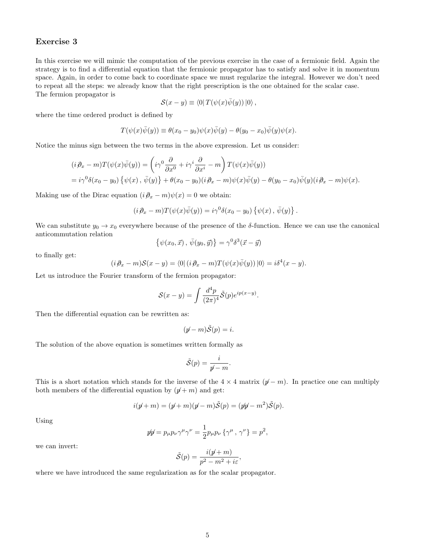#### Exercise 3

In this exercise we will mimic the computation of the previous exercise in the case of a fermionic field. Again the strategy is to find a differential equation that the fermionic propagator has to satisfy and solve it in momentum space. Again, in order to come back to coordinate space we must regularize the integral. However we don't need to repeat all the steps: we already know that the right prescription is the one obtained for the scalar case. The fermion propagator is

$$
\mathcal{S}(x - y) \equiv \langle 0 | T(\psi(x)\overline{\psi}(y)) | 0 \rangle ,
$$

where the time ordered product is defined by

$$
T(\psi(x)\overline{\psi}(y)) \equiv \theta(x_0 - y_0)\psi(x)\overline{\psi}(y) - \theta(y_0 - x_0)\overline{\psi}(y)\psi(x).
$$

Notice the minus sign between the two terms in the above expression. Let us consider:

$$
(i \partial_x - m)T(\psi(x)\bar{\psi}(y)) = \left(i\gamma^0 \frac{\partial}{\partial x^0} + i\gamma^i \frac{\partial}{\partial x^i} - m\right)T(\psi(x)\bar{\psi}(y))
$$
  
=  $i\gamma^0 \delta(x_0 - y_0) \{\psi(x), \bar{\psi}(y)\} + \theta(x_0 - y_0)(i \partial_x - m)\psi(x)\bar{\psi}(y) - \theta(y_0 - x_0)\bar{\psi}(y)(i \partial_x - m)\psi(x).$ 

Making use of the Dirac equation  $(i\partial_x - m)\psi(x) = 0$  we obtain:

$$
(i\partial_x - m)T(\psi(x)\overline{\psi}(y)) = i\gamma^0\delta(x_0 - y_0)\{\psi(x), \overline{\psi}(y)\}
$$

.

We can substitute  $y_0 \to x_0$  everywhere because of the presence of the  $\delta$ -function. Hence we can use the canonical anticommutation relation

$$
\{\psi(x_0, \vec{x}), \,\overline{\psi}(y_0, \vec{y})\} = \gamma^0 \delta^3(\vec{x} - \vec{y})
$$

to finally get:

$$
(i\partial_x - m)S(x - y) = \langle 0 | (i\partial_x - m)T(\psi(x)\overline{\psi}(y)) | 0 \rangle = i\delta^4(x - y).
$$

Let us introduce the Fourier transform of the fermion propagator:

$$
\mathcal{S}(x-y) = \int \frac{d^4p}{(2\pi)^4} \tilde{\mathcal{S}}(p) e^{ip(x-y)}.
$$

Then the differential equation can be rewritten as:

$$
(p - m)\tilde{\mathcal{S}}(p) = i.
$$

The solution of the above equation is sometimes written formally as

$$
\tilde{\mathcal{S}}(p) = \frac{i}{p-m}.
$$

This is a short notation which stands for the inverse of the  $4 \times 4$  matrix  $(p - m)$ . In practice one can multiply both members of the differential equation by  $(p + m)$  and get:

$$
i(p+m) = (p+m)(p-m)\tilde{S}(p) = (p p-m^2)\tilde{S}(p).
$$

Using

$$
\mathscr{W} = p_{\mu}p_{\nu}\gamma^{\mu}\gamma^{\nu} = \frac{1}{2}p_{\mu}p_{\nu}\left\{\gamma^{\mu},\,\gamma^{\nu}\right\} = p^2,
$$

we can invert:

$$
\tilde{\mathcal{S}}(p) = \frac{i(p\!\!\!/ + m)}{p^2 - m^2 + i\varepsilon},
$$

where we have introduced the same regularization as for the scalar propagator.